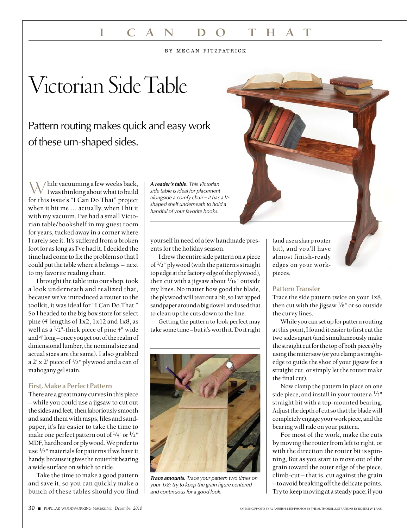# **i can do that**

BY MEGAN FITZPATRICK

# Victorian Side Table

# Pattern routing makes quick and easy work of these urn-shaped sides.

While vacuuming a few weeks back, I was thinking about what to build for this issue's "I Can Do That" project when it hit me … actually, when I hit it with my vacuum. I've had a small Victorian table/bookshelf in my guest room for years, tucked away in a corner where I rarely see it. It's suffered from a broken foot for as long as I've had it. I decided the time had come to fix the problem so that I could put the table where it belongs – next to my favorite reading chair.

I brought the table into our shop, took a look underneath and realized that, because we've introduced a router to the toolkit, it was ideal for "I Can Do That." So I headed to the big box store for select pine (4' lengths of 1x2, 1x12 and 1x8, as well as a  $\frac{1}{2}$ "-thick piece of pine 4" wide and 4' long – once you get out of the realm of dimensional lumber, the nominal size and actual sizes are the same). I also grabbed a 2' x 2' piece of  $\frac{1}{2}$ " plywood and a can of mahogany gel stain.

#### **First, Make a Perfect Pattern**

There are a great many curves in this piece – while you could use a jigsaw to cut out the sides and feet, then laboriously smooth and sand them with rasps, files and sandpaper, it's far easier to take the time to make one perfect pattern out of  $\frac{1}{4}$ " or  $\frac{1}{2}$ " MDF, hardboard or plywood. We prefer to use  $\frac{1}{2}$ " materials for patterns if we have it handy, because it gives the router bit bearing a wide surface on which to ride.

Take the time to make a good pattern and save it, so you can quickly make a bunch of these tables should you find *A reader's table. This Victorian side table is ideal for placement alongside a comfy chair – it has a Vshaped shelf underneath to hold a handful of your favorite books.*

yourself in need of a few handmade presents for the holiday season.

I drew the entire side pattern on a piece of  $\frac{1}{2}$ " plywood (with the pattern's straight top edge at the factory edge of the plywood), then cut with a jigsaw about  $\frac{1}{16}$ " outside my lines. No matter how good the blade, the plywood will tear out a bit, so I wrapped sandpaper around a big dowel and used that to clean up the cuts down to the line.

Getting the pattern to look perfect may take some time – but it's worth it. Do it right



*Trace amounts. Trace your pattern two times on your 1x8; try to keep the grain figure centered and continuous for a good look.*

(and use a sharp router bit), and you'll have almost finish-ready edges on your workpieces.

#### **Pattern Transfer**

Trace the side pattern twice on your 1x8, then cut with the jigsaw  $\frac{1}{8}$ " or so outside the curvy lines.

While you can set up for pattern routing at this point, I found it easier to first cut the two sides apart (and simultaneously make the straight cut for the top of both pieces) by using the miter saw (or you clamp a straightedge to guide the shoe of your jigsaw for a straight cut, or simply let the router make the final cut).

Now clamp the pattern in place on one side piece, and install in your router a  $\frac{1}{2}$ " straight bit with a top-mounted bearing. Adjust the depth of cut so that the blade will completely engage your workpiece, and the bearing will ride on your pattern.

For most of the work, make the cuts by moving the router from left to right, or with the direction the router bit is spinning, But as you start to move out of the grain toward the outer edge of the piece, climb-cut – that is, cut against the grain – to avoid breaking off the delicate points. Try to keep moving at a steady pace; if you